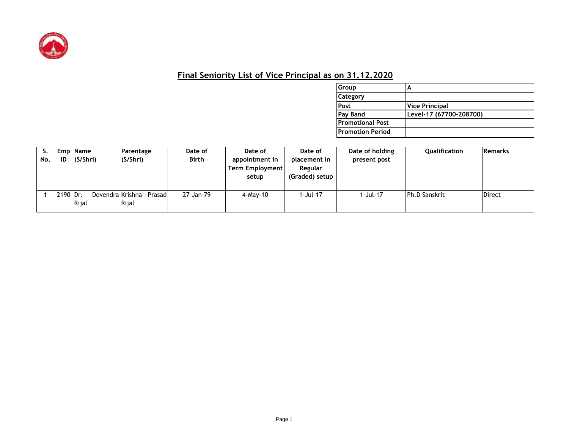

## **Final Seniority List of Vice Principal as on 31.12.2020**

| Group                   |                         |
|-------------------------|-------------------------|
| <b>Category</b>         |                         |
| Post                    | <b>Vice Principal</b>   |
| Pay Band                | Level-17 (67700-208700) |
| <b>Promotional Post</b> |                         |
| Promotion Period        |                         |

| No. | ID       | Emp Name<br>(S/Shri)       | Parentage<br>(S/Shri) | Date of<br>Birth | Date of<br>appointment in<br>Term Employment<br>setup | Date of<br>placement in<br>Regular<br>(Graded) setup | Date of holding<br>present post | Qualification        | <b>Remarks</b> |
|-----|----------|----------------------------|-----------------------|------------------|-------------------------------------------------------|------------------------------------------------------|---------------------------------|----------------------|----------------|
|     | 2190 Dr. | Devendral Krishna<br>Rijal | Prasadl<br>Rijal      | 27-Jan-79        | $4$ -May-10                                           | 1-Jul-17                                             | 1-Jul-17                        | <b>Ph.D Sanskrit</b> | <b>Direct</b>  |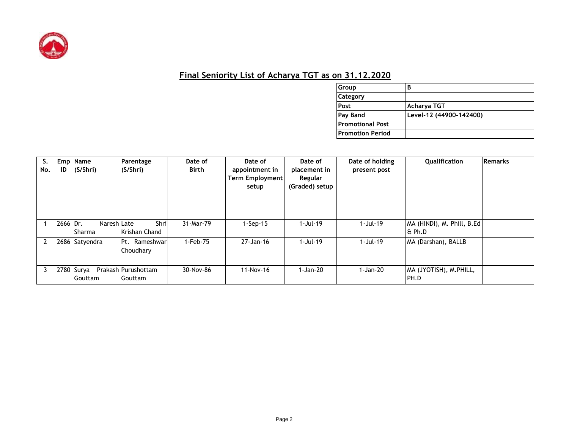

## **Final Seniority List of Acharya TGT as on 31.12.2020**

| Group                   | В                       |
|-------------------------|-------------------------|
| <b>Category</b>         |                         |
| Post                    | Acharya TGT             |
| Pay Band                | Level-12 (44900-142400) |
| <b>Promotional Post</b> |                         |
| <b>Promotion Period</b> |                         |

| S.<br>No.      | ID         | Emp Name<br>(S/Shri)          | <b>Parentage</b><br>(S/Shri)          | Date of<br>Birth | Date of<br>appointment in<br><b>Term Employment</b><br>setup | Date of<br>placement in<br>Regular<br>(Graded) setup | Date of holding<br>present post | <b>Oualification</b>                  | Remarks |
|----------------|------------|-------------------------------|---------------------------------------|------------------|--------------------------------------------------------------|------------------------------------------------------|---------------------------------|---------------------------------------|---------|
|                | 2666 Dr.   | NareshlLate<br><b>ISharma</b> | Shril<br>Krishan Chand                | 31-Mar-79        | $1-Sep-15$                                                   | 1-Jul-19                                             | 1-Jul-19                        | MA (HINDI), M. Phill, B.Ed<br>l& Ph.D |         |
| $\mathfrak{p}$ |            | 2686 Satyendra                | Rameshwar<br>IPt.<br>Choudhary        | 1-Feb-75         | 27-Jan-16                                                    | $1-Jul-19$                                           | $1-Jul-19$                      | MA (Darshan), BALLB                   |         |
| 3              | 2780 Surya | Gouttam                       | Prakash Purushottam<br><b>Gouttam</b> | 30-Nov-86        | 11-Nov-16                                                    | 1-Jan-20                                             | 1-Jan-20                        | MA (JYOTISH), M.PHILL,<br>IPH.D       |         |